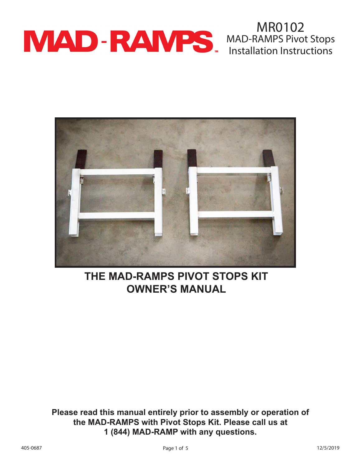

MR0102 MAD-RAMPS Pivot Stops Installation Instructions



# **THE MAD-RAMPS PIVOT STOPS KIT OWNER'S MANUAL**

**Please read this manual entirely prior to assembly or operation of the MAD-RAMPS with Pivot Stops Kit. Please call us at 1 (844) MAD-RAMP with any questions.**

405-0687 Page 1 of 5 12/5/2019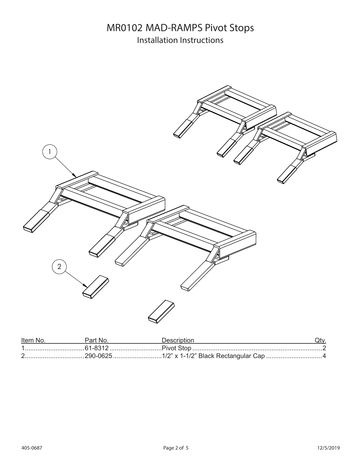### MR0102 MAD-RAMPS Pivot Stops Installation Instructions



| Item No. | Part No | Description |  |
|----------|---------|-------------|--|
|          |         |             |  |
|          |         |             |  |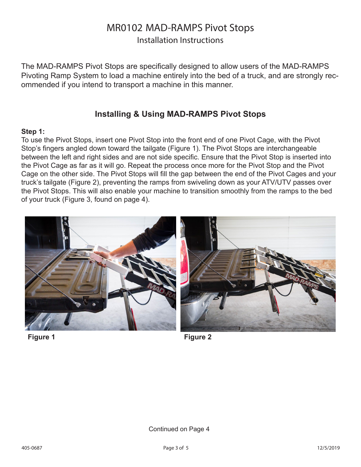### MR0102 MAD-RAMPS Pivot Stops

Installation Instructions

The MAD-RAMPS Pivot Stops are specifically designed to allow users of the MAD-RAMPS Pivoting Ramp System to load a machine entirely into the bed of a truck, and are strongly recommended if you intend to transport a machine in this manner.

### **Installing & Using MAD-RAMPS Pivot Stops**

#### **Step 1:**

To use the Pivot Stops, insert one Pivot Stop into the front end of one Pivot Cage, with the Pivot Stop's fingers angled down toward the tailgate (Figure 1). The Pivot Stops are interchangeable between the left and right sides and are not side specific. Ensure that the Pivot Stop is inserted into the Pivot Cage as far as it will go. Repeat the process once more for the Pivot Stop and the Pivot Cage on the other side. The Pivot Stops will fill the gap between the end of the Pivot Cages and your truck's tailgate (Figure 2), preventing the ramps from swiveling down as your ATV/UTV passes over the Pivot Stops. This will also enable your machine to transition smoothly from the ramps to the bed of your truck (Figure 3, found on page 4).



**Figure 1 Figure 2**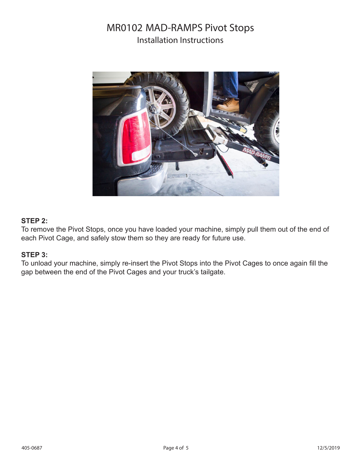### MR0102 MAD-RAMPS Pivot Stops Installation Instructions



#### **STEP 2:**

To remove the Pivot Stops, once you have loaded your machine, simply pull them out of the end of each Pivot Cage, and safely stow them so they are ready for future use.

#### **STEP 3:**

To unload your machine, simply re-insert the Pivot Stops into the Pivot Cages to once again fill the gap between the end of the Pivot Cages and your truck's tailgate.